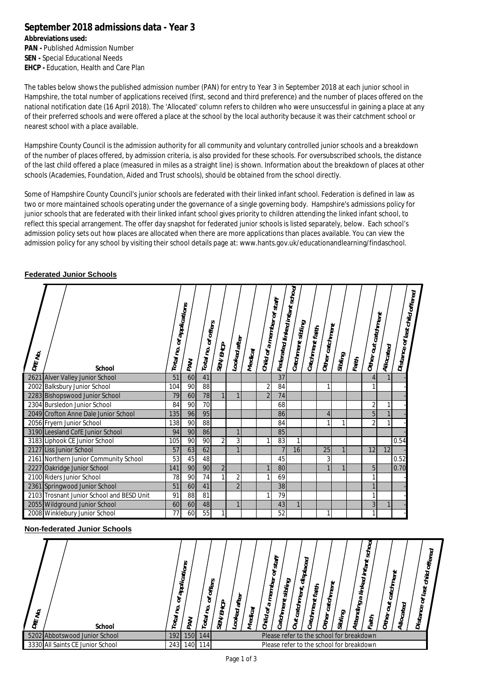## **September 2018 admissions data - Year 3**

**Abbreviations used: PAN - Published Admission Number SEN -** Special Educational Needs **EHCP -** Education, Health and Care Plan

The tables below shows the published admission number (PAN) for entry to Year 3 in September 2018 at each junior school in Hampshire, the total number of applications received (first, second and third preference) and the number of places offered on the national notification date (16 April 2018). The 'Allocated' column refers to children who were unsuccessful in gaining a place at any of their preferred schools and were offered a place at the school by the local authority because it was their catchment school or nearest school with a place available.

Hampshire County Council is the admission authority for all community and voluntary controlled junior schools and a breakdown of the number of places offered, by admission criteria, is also provided for these schools. For oversubscribed schools, the distance of the last child offered a place (measured in miles as a straight line) is shown. Information about the breakdown of places at other schools (Academies, Foundation, Aided and Trust schools), should be obtained from the school directly.

Some of Hampshire County Council's junior schools are federated with their linked infant school. Federation is defined in law as two or more maintained schools operating under the governance of a single governing body. Hampshire's admissions policy for junior schools that are federated with their linked infant school gives priority to children attending the linked infant school, to reflect this special arrangement. The offer day snapshot for federated junior schools is listed separately, below. Each school's admission policy sets out how places are allocated when there are more applications than places available. You can view the admission policy for any school by visiting their school details page at: [www.hants.gov.uk/educationandlearning/findaschool.](http://www.hants.gov.uk/educationandlearning/findaschool.)

## **Federated Junior Schools**

| DfE No. | <b>School</b>                             | Total no. | of applications<br>PAN | Total no. of offers | <b>SEN/EHCP</b> | Looked after   | Medical | Child of a member of staff | <sup>Feder</sup> ated linked infant school | $\vert$ Catchment sibling | Catchment faith | Other catchment | Sibling | Faith | Other out catchment | Allocated    | Distance of last child offered |  |
|---------|-------------------------------------------|-----------|------------------------|---------------------|-----------------|----------------|---------|----------------------------|--------------------------------------------|---------------------------|-----------------|-----------------|---------|-------|---------------------|--------------|--------------------------------|--|
|         | 2621 Alver Valley Junior School           | 51        | 60                     | 41                  |                 |                |         |                            | 37                                         |                           |                 |                 |         |       | 4                   |              |                                |  |
|         | 2002 Balksbury Junior School              | 104       | 90                     | 88                  |                 |                |         | $\overline{2}$             | 84                                         |                           |                 | 1               |         |       |                     |              |                                |  |
|         | 2283 Bishopswood Junior School            | 79        | 60                     | 78                  |                 |                |         | $\mathfrak{p}$             | 74                                         |                           |                 |                 |         |       |                     |              |                                |  |
|         | 2304 Bursledon Junior School              | 84        | 90                     | 70                  |                 |                |         |                            | 68                                         |                           |                 |                 |         |       | 2                   | 1            |                                |  |
|         | 2049 Crofton Anne Dale Junior School      | 135       | 96                     | 95                  |                 |                |         |                            | 86                                         |                           |                 | $\overline{4}$  |         |       | 5                   |              |                                |  |
|         | 2056 Fryern Junior School                 | 138       | 90                     | 88                  |                 |                |         |                            | 84                                         |                           |                 | $\mathbf{1}$    | 1       |       | 2                   | 1            |                                |  |
|         | 3190 Leesland CofE Junior School          | 94        | 90                     | 86                  |                 |                |         |                            | 85                                         |                           |                 |                 |         |       |                     |              |                                |  |
|         | 3183 Liphook CE Junior School             | 105       | 90                     | 90                  | 2               | 3              |         | 1                          | 83                                         |                           |                 |                 |         |       |                     |              | 0.54                           |  |
|         | 2127 Liss Junior School                   | 57        | 63                     | 62                  |                 |                |         |                            |                                            | 16                        |                 | 25              |         |       | 12                  | 12           |                                |  |
|         | 2161 Northern Junior Community School     | 53        | 45                     | 48                  |                 |                |         |                            | 45                                         |                           |                 | 3               |         |       |                     |              | 0.52                           |  |
|         | 2227 Oakridge Junior School               | 141       | 90                     | 90                  | $\overline{2}$  |                |         |                            | 80                                         |                           |                 | $\mathbf{1}$    |         |       | 5                   |              | 0.70                           |  |
|         | 2100 Riders Junior School                 | 78        | 90                     | 74                  |                 | $\overline{2}$ |         |                            | 69                                         |                           |                 |                 |         |       |                     |              |                                |  |
|         | 2361 Springwood Junior School             | 51        | 60                     | 41                  |                 | $\overline{2}$ |         |                            | 38                                         |                           |                 |                 |         |       |                     |              |                                |  |
|         | 2103 Trosnant Junior School and BESD Unit | 91        | 88                     | 81                  |                 |                |         | $\mathbf{1}$               | 79                                         |                           |                 |                 |         |       |                     |              |                                |  |
|         | 2055 Wildground Junior School             | 60        | 60                     | 48                  |                 |                |         |                            | 43                                         |                           |                 |                 |         |       | 3                   | $\mathbf{1}$ |                                |  |
|         | 2008 Winklebury Junior School             | 77        | 60                     | 55                  | 1               |                |         |                            | 52                                         |                           |                 | 1               |         |       |                     |              |                                |  |

## **Non-federated Junior Schools**

| DfE No. | <b>School</b>                    | $\circ$<br>೪<br>Total | applications<br>ЪÅ | offers<br>৳<br>S,<br>Total | <b>SEN/EHCP</b>                          | after<br>Looked | Medical | ঌ<br>member<br>᠊ᠬᠣ<br>ð<br>Child | ≿<br>Ĩ0<br>ಜ<br>sibling<br>Catchment | displaced<br>catchment,<br>$\overline{c}$ | faith<br>Catchment | Other catchment | Sibling | linked<br>᠊ᠬᠣ<br><b>Attending</b> | hool<br>ಜ<br>infant<br>Faith | <b>Catchment</b><br>ð<br>Other | Allocated | offered<br>child<br>ಜ<br>ء<br>۰<br>Distance |  |
|---------|----------------------------------|-----------------------|--------------------|----------------------------|------------------------------------------|-----------------|---------|----------------------------------|--------------------------------------|-------------------------------------------|--------------------|-----------------|---------|-----------------------------------|------------------------------|--------------------------------|-----------|---------------------------------------------|--|
|         | 5202 Abbotswood Junior School    | 192                   | 150                | 1441                       | Please refer to the school for breakdown |                 |         |                                  |                                      |                                           |                    |                 |         |                                   |                              |                                |           |                                             |  |
|         | 3330 All Saints CE Junior School | 243                   | 140                | 1141                       | Please refer to the school for breakdown |                 |         |                                  |                                      |                                           |                    |                 |         |                                   |                              |                                |           |                                             |  |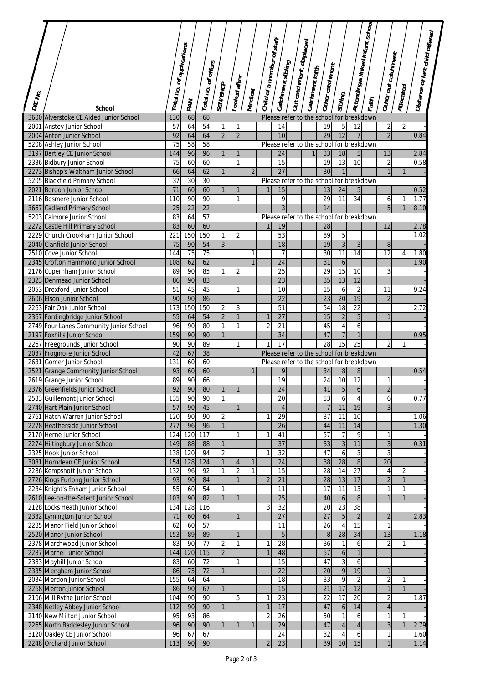| DIE No. | <b>School</b>                                                   | Total no. of applications | PAN             | Total no. of offers | <b>SEN/EHCP</b>     | Looked after   | Medical             | Child of a member of staff | Catchment sibling     | Out catchment, displaced | Catchment faith | Other catchment                                | Sibling                          |                                  | Attending a linked infant school<br>Faith | Other out catchment          | Allocated      | <b>Distance of last child offered</b> |  |
|---------|-----------------------------------------------------------------|---------------------------|-----------------|---------------------|---------------------|----------------|---------------------|----------------------------|-----------------------|--------------------------|-----------------|------------------------------------------------|----------------------------------|----------------------------------|-------------------------------------------|------------------------------|----------------|---------------------------------------|--|
|         | 3600 Alverstoke CE Aided Junior School                          | 130                       | 68              | 68                  |                     |                |                     |                            |                       |                          |                 | Please refer to the school for breakdown       |                                  |                                  |                                           |                              |                |                                       |  |
|         | 2001 Anstey Junior School                                       | 57                        | 64              | 54                  | 1                   | 1              |                     |                            | 14                    |                          |                 | 19                                             | 5                                | 12                               |                                           | $\overline{2}$               | $\overline{2}$ |                                       |  |
|         | 2004 Anton Junior School                                        | 92                        | 64              | 64                  | $\overline{2}$      | $\overline{2}$ |                     |                            | 10                    |                          |                 | 29                                             | $\overline{12}$                  | $\overline{7}$                   |                                           | $\overline{2}$               |                | 0.84                                  |  |
|         | 5208 Ashley Junior School                                       | 75                        | 58              | 58                  |                     |                |                     |                            |                       |                          |                 | Please refer to the school for breakdown       |                                  |                                  |                                           |                              |                |                                       |  |
|         | 3197 Bartley CE Junior School                                   | 144                       | 96              | 96                  | $\mathbf{1}$        | 1              |                     |                            | 24                    |                          | 1               | 33                                             | 18                               | 5 <sup>5</sup>                   |                                           | 13                           |                | 2.84                                  |  |
|         | 2336 Bidbury Junior School                                      | 75                        | 60              | 60                  |                     | $\mathbf{1}$   |                     |                            | 15                    |                          |                 | 19                                             | $\overline{13}$                  | 10                               |                                           | $\overline{2}$               |                | 0.58                                  |  |
|         | 2273 Bishop's Waltham Junior School                             | 66<br>$\overline{37}$     | 64              | 62                  | $\mathbf{1}$        |                | $\overline{2}$      |                            | $\overline{27}$       |                          |                 | 30                                             | $\mathbf{1}$                     |                                  |                                           | $\mathbf{1}$                 | $\mathbf{1}$   |                                       |  |
|         | 5205 Blackfield Primary School<br>2021 Bordon Junior School     | $\overline{71}$           | 30<br>60        | 30<br>60            |                     | 1              |                     |                            | 15                    |                          |                 | Please refer to the school for breakdown<br>13 | 24                               | 5                                |                                           |                              |                | 0.52                                  |  |
|         | 2116 Bosmere Junior School                                      | 110                       | 90              | 90                  |                     | $\mathbf{1}$   |                     |                            | 9                     |                          |                 | 29                                             | 11                               | 34                               |                                           | 6                            | 1              | 1.77                                  |  |
|         | 3667 Cadland Primary School                                     | 25                        | $\overline{22}$ | $\overline{22}$     |                     |                |                     |                            | 3                     |                          |                 | 14                                             |                                  |                                  |                                           | 5                            | $\mathbf{1}$   | 8.10                                  |  |
|         | 5203 Calmore Junior School                                      | 83                        | 64              | $\overline{57}$     |                     |                |                     |                            |                       |                          |                 | Please refer to the school for breakdown       |                                  |                                  |                                           |                              |                |                                       |  |
|         | 2272 Castle Hill Primary School                                 | 83                        | 60              | 60                  |                     |                |                     | 1                          | 19                    |                          |                 | 28                                             |                                  |                                  |                                           | $\overline{12}$              |                | 2.78                                  |  |
|         | 2229 Church Crookham Junior School                              | 221                       | 150             | 150                 | $\mathbf{1}$        | $\overline{2}$ |                     |                            | 53                    |                          |                 | 89                                             | 5                                |                                  |                                           |                              |                | 1.02                                  |  |
|         | 2040 Clanfield Junior School                                    | 75                        | 90              | 54                  | 3                   |                |                     |                            | 18                    |                          |                 | 19                                             | $\overline{3}$                   | $\mathfrak{Z}$                   |                                           | 8                            |                |                                       |  |
|         | 2510 Cove Junior School                                         | 144                       | 75              | 75                  |                     |                | 1<br>$\overline{1}$ |                            | 7                     |                          |                 | 30                                             | 11                               | 14                               |                                           | 12                           | 4              | 1.80                                  |  |
|         | 2345 Crofton Hammond Junior School                              | 108<br>89                 | 62<br>90        | 62<br>85            | 1                   |                |                     |                            | $\overline{24}$       |                          |                 | 31                                             | 6<br>15                          |                                  |                                           | 3                            |                | 1.90                                  |  |
|         | 2176 Cupernham Junior School<br>2323 Denmead Junior School      | 86                        | 90              | 83                  |                     | $\overline{2}$ |                     |                            | 25<br>$\overline{23}$ |                          |                 | 29<br>35                                       | 13                               | 10<br>12                         |                                           |                              |                |                                       |  |
|         | 2053 Droxford Junior School                                     | 51                        | 45              | 45                  |                     | $\mathbf{1}$   |                     |                            | 10                    |                          |                 | 15                                             | 6                                | $\overline{2}$                   |                                           | 11                           |                | 9.24                                  |  |
|         | 2606 Elson Junior School                                        | 90                        | 90              | 86                  |                     |                |                     |                            | 22                    |                          |                 | 23                                             | 20                               | 19                               |                                           | $\overline{2}$               |                |                                       |  |
|         | 2263 Fair Oak Junior School                                     | 173                       | 150             | 150                 | 2                   | 3              |                     |                            | $\overline{51}$       |                          |                 | 54                                             | $\overline{18}$                  | 22                               |                                           |                              |                | 2.72                                  |  |
|         | 2367 Fordingbridge Junior School                                | 55                        | 64              | 54                  | $\overline{2}$      | 1              |                     |                            | 27                    |                          |                 | 15                                             | $\overline{2}$                   | 5                                |                                           | $\mathbf{1}$                 |                |                                       |  |
|         | 2749 Four Lanes Community Junior School                         | 96                        | 90              | 80                  | 1                   | $\mathbf{1}$   |                     | 2                          | $\overline{21}$       |                          |                 | 45                                             | $\overline{4}$                   | 6                                |                                           |                              |                |                                       |  |
|         | 2197 Foxhills Junior School                                     | 159                       | 90              | 90                  | $\mathbf{1}$        |                |                     |                            | 34                    |                          |                 | 47                                             | $\overline{7}$                   | $\mathbf{1}$                     |                                           |                              |                | 0.95                                  |  |
|         | 2267 Freegrounds Junior School                                  | 90                        | 90              | 89                  |                     | $\mathbf{1}$   |                     |                            | 17                    |                          |                 | 28                                             | 15                               | 25                               |                                           | $\overline{2}$               | 1              |                                       |  |
|         | 2037 Frogmore Junior School                                     | 42                        | 67              | 38                  |                     |                |                     |                            |                       |                          |                 | Please refer to the school for breakdown       |                                  |                                  |                                           |                              |                |                                       |  |
|         | 2631 Gomer Junior School<br>2521 Grange Community Junior School | 131<br>93                 | 60<br>60        | 60<br>60            |                     |                | $\mathbf{1}$        |                            | 9                     |                          |                 | Please refer to the school for breakdown<br>34 |                                  | $\bf 8$                          |                                           |                              |                | 0.54                                  |  |
|         | 2619 Grange Junior School                                       | 89                        | 90              | 66                  |                     |                |                     |                            | 19                    |                          |                 | 24                                             | $\, 8$<br>10                     | 12                               |                                           | $\mathbf{1}$                 |                |                                       |  |
|         | 2376 Greenfields Junior School                                  | 92                        | 90              | 80                  | 1                   | $\mathbf{1}$   |                     |                            | 24                    |                          |                 | 41                                             | $\sqrt{5}$                       | $\boldsymbol{6}$                 |                                           | $\sqrt{2}$                   |                |                                       |  |
|         | 2533 Guillemont Junior School                                   | 135                       | 90              | 90                  | 1                   |                |                     |                            | 20                    |                          |                 | 53                                             | $\overline{6}$                   | $\overline{\mathbf{4}}$          |                                           | 6                            |                | 0.77                                  |  |
|         | 2740 Hart Plain Junior School                                   | 57                        | 90              | 45                  |                     | $\mathbf{1}$   |                     |                            | $\overline{4}$        |                          |                 | $\overline{7}$                                 | 11                               | 19                               |                                           | 3                            |                |                                       |  |
|         | 2761 Hatch Warren Junior School                                 | 120                       | 90              | 90                  | $\overline{2}$      |                |                     |                            | $\overline{29}$       |                          |                 | $\overline{37}$                                | $\overline{11}$                  | 10                               |                                           |                              |                | 1.06                                  |  |
|         | 2278 Heatherside Junior School                                  | 277                       | 96              | 96                  | $\mathbf{1}$        |                |                     |                            | $\overline{26}$       |                          |                 | 44                                             | 11                               | 14                               |                                           |                              |                | 1.30                                  |  |
|         | 2170 Herne Junior School                                        | 124                       | 120             | 117                 |                     | $\mathbf{1}$   |                     |                            | 41                    |                          |                 | 57                                             | $\overline{7}$                   | 9                                |                                           | $\mathbf{1}$                 |                |                                       |  |
|         | 2274 Hiltingbury Junior School                                  | 149                       | 88              | 88                  | $\overline{1}$      |                |                     |                            | $\overline{37}$       |                          |                 | 33                                             | $\overline{3}$                   | 11                               |                                           | 3                            |                | 0.31                                  |  |
|         | 2325 Hook Junior School<br>3081 Horndean CE Junior School       | 138<br>154                | 120<br>128      | 94<br>124           | 2<br>$\mathbf{1}$   | $\overline{4}$ | $\mathbf{1}$        | 1                          | 32<br>24              |                          |                 | 47<br>38                                       | 6<br>$\overline{28}$             | 3<br>$\bf 8$                     |                                           | 3<br>$\overline{20}$         |                |                                       |  |
|         | 2286 Kempshott Junior School                                    | 132                       | 96              | $\overline{92}$     | 1                   | $\overline{2}$ | $\mathbf{1}$        |                            | 15                    |                          |                 | 28                                             | 14                               | $\overline{27}$                  |                                           | $\overline{4}$               | $\overline{2}$ |                                       |  |
|         | 2726 Kings Furlong Junior School                                | 93                        | 90              | 84                  |                     | $\overline{1}$ |                     | $\overline{2}$             | $\overline{21}$       |                          |                 | $\overline{28}$                                | 13                               | 17                               |                                           | $\overline{2}$               | $\overline{1}$ |                                       |  |
|         | 2284 Knight's Enham Junior School                               | 55                        | 60              | 54                  | 1                   |                |                     |                            | 11                    |                          |                 | 17                                             | 11                               | 13                               |                                           | $\mathbf{1}$                 | $\mathbf{1}$   |                                       |  |
|         | 2610 Lee-on-the-Solent Junior School                            | 103                       | 90              | 82                  | $\mathbf{1}$        | $\mathbf{1}$   |                     |                            | 25                    |                          |                 | 40                                             | $\ddot{\mathbf{6}}$              | $\, 8$                           |                                           | $\mathbf{1}$                 | $\mathbf{1}$   |                                       |  |
|         | 2128 Locks Heath Junior School                                  | 134                       | 128             | 116                 |                     |                |                     | 3                          | $\overline{32}$       |                          |                 | 20                                             | $\overline{23}$                  | $\overline{38}$                  |                                           |                              |                |                                       |  |
|         | 2332 Lymington Junior School                                    | 71                        | 60              | 64                  |                     | 1              |                     |                            | 27                    |                          |                 | 27                                             | $\overline{5}$                   | $\overline{2}$                   |                                           | $\overline{2}$               |                | 2.83                                  |  |
|         | 2285 Manor Field Junior School                                  | 62                        | 60              | $\overline{57}$     |                     |                |                     |                            | 11                    |                          |                 | 26                                             | $\overline{4}$                   | 15                               |                                           | 1                            |                |                                       |  |
|         | 2520 Manor Junior School                                        | 153                       | 89              | 89                  |                     | $\mathbf{1}$   |                     |                            | $\overline{5}$        |                          |                 | 8                                              | 28                               | 34                               |                                           | 13                           |                | 1.18                                  |  |
|         | 2378 Marchwood Junior School<br>2287 Marnel Junior School       | 83<br>144                 | 90<br>120       | 77<br>115           | 2<br>$\overline{2}$ | $\mathbf{1}$   |                     |                            | 28<br>48              |                          |                 | 36<br>57                                       | $\mathbf{1}$<br>$\boldsymbol{6}$ | $\boldsymbol{6}$<br>$\mathbf{1}$ |                                           | $\overline{2}$               | $\mathbf{1}$   |                                       |  |
|         | 2383 Mayhill Junior School                                      | 83                        | 60              | $\overline{72}$     |                     | $\mathbf{1}$   |                     |                            | 15                    |                          |                 | 47                                             | $\overline{3}$                   | 6                                |                                           |                              |                |                                       |  |
|         | 2335 Mengham Junior School                                      | 86                        | 75              | $\overline{72}$     |                     |                |                     |                            | $\overline{22}$       |                          |                 | 20                                             | $\overline{9}$                   | 19                               |                                           | $\mathbf{1}$                 |                |                                       |  |
|         | 2034 Merdon Junior School                                       | 155                       | 64              | 64                  |                     |                |                     |                            | 18                    |                          |                 | 33                                             | 9                                | $\sqrt{2}$                       |                                           | 2                            | 1              |                                       |  |
|         | 2268 Merton Junior School                                       | 86                        | 90              | 67                  |                     |                |                     |                            | 15                    |                          |                 | 21                                             | 17                               | 12                               |                                           | $\mathbf{1}$                 | $\mathbf{1}$   |                                       |  |
|         | 2106 Mill Rythe Junior School                                   | 104                       | 90              | 90                  |                     | 5              |                     |                            | 23                    |                          |                 | 22                                             | $\overline{17}$                  | 20                               |                                           | $\overline{2}$               |                | 1.87                                  |  |
|         | 2348 Netley Abbey Junior School                                 | 112                       | 90              | 90                  |                     |                |                     |                            | 17                    |                          |                 | 47                                             | 6                                | 14                               |                                           | $\sqrt{4}$                   |                |                                       |  |
|         | 2140 New Milton Junior School                                   | 95                        | 93              | 86                  |                     |                |                     | $\overline{2}$             | $\overline{26}$       |                          |                 | 50                                             | $\mathbf{1}$                     | 6                                |                                           | $\mathbf{1}$                 | 1              |                                       |  |
|         | 2265 North Baddesley Junior School                              | 96                        | 90              | 90                  | $\mathbf{1}$        | $\mathbf{1}$   | $\mathbf{1}$        |                            | 29                    |                          |                 | 47                                             | $\overline{4}$                   | $\overline{4}$                   |                                           | 3                            | $\mathbf{1}$   | 2.79                                  |  |
|         | 3120 Oakley CE Junior School<br>2248 Orchard Junior School      | 96<br>113                 | 67<br>90        | 67<br>90            |                     |                |                     | $\overline{2}$             | 24<br>23              |                          |                 | 32<br>39                                       | $\overline{4}$<br>10             | 6<br>15                          |                                           | $\mathbf{1}$<br>$\mathbf{1}$ |                | 1.60<br>1.14                          |  |
|         |                                                                 |                           |                 |                     |                     |                |                     |                            |                       |                          |                 |                                                |                                  |                                  |                                           |                              |                |                                       |  |